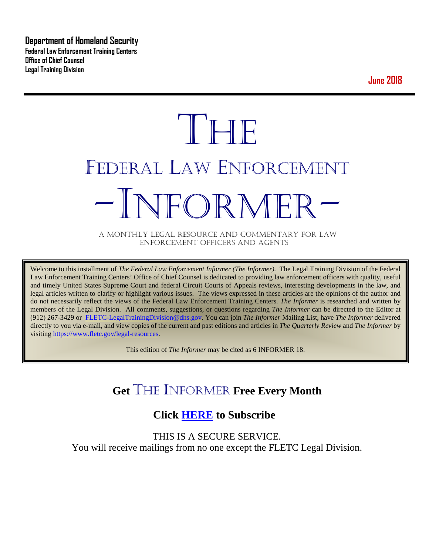**Department of Homeland Security Federal Law Enforcement Training Centers Office of Chief Counsel Legal Training Division** 

**June 2018**

# **THE** FEDERAL LAW ENFORCEMENT -INFORMER- A MONTHLY LEGAL RESOURCE AND COMMENTARY FOR LAW

ENFORCEMENT OFFICERS AND AGENTS

Welcome to this installment of *The Federal Law Enforcement Informer (The Informer).* The Legal Training Division of the Federal Law Enforcement Training Centers' Office of Chief Counsel is dedicated to providing law enforcement officers with quality, useful and timely United States Supreme Court and federal Circuit Courts of Appeals reviews, interesting developments in the law, and legal articles written to clarify or highlight various issues. The views expressed in these articles are the opinions of the author and do not necessarily reflect the views of the Federal Law Enforcement Training Centers. *The Informer* is researched and written by members of the Legal Division. All comments, suggestions, or questions regarding *The Informer* can be directed to the Editor at (912) 267-3429 or [FLETC-LegalTrainingDivision@dhs.gov.](mailto:FLETC-LegalTrainingDivision@dhs.gov) You can join *The Informer* Mailing List, have *The Informer* delivered directly to you via e-mail, and view copies of the current and past editions and articles in *The Quarterly Review* and *The Informer* by visiting [https://www.fletc.gov/legal-resources.](https://www.fletc.gov/legal-resources) 

This edition of *The Informer* may be cited as 6 INFORMER 18.

# **Get** THE INFORMER **Free Every Month**

# **Click [HERE](https://app.co-sender.com/opt-in/list/7b007eab-378b-4542-807f-44d6de94cb7e) to Subscribe**

THIS IS A SECURE SERVICE. You will receive mailings from no one except the FLETC Legal Division.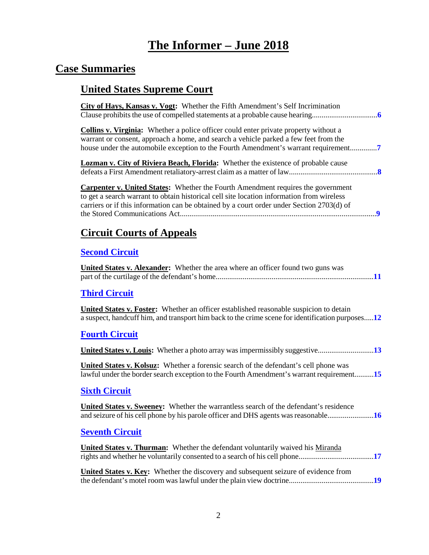# **The Informer – June 2018**

# **Case Summaries**

# **United States Supreme Court**

| City of Hays, Kansas v. Vogt: Whether the Fifth Amendment's Self Incrimination                                                                                                                                                                                                    |
|-----------------------------------------------------------------------------------------------------------------------------------------------------------------------------------------------------------------------------------------------------------------------------------|
| <b>Collins v. Virginia:</b> Whether a police officer could enter private property without a<br>warrant or consent, approach a home, and search a vehicle parked a few feet from the<br>house under the automobile exception to the Fourth Amendment's warrant requirement         |
| Lozman v. City of Riviera Beach, Florida: Whether the existence of probable cause                                                                                                                                                                                                 |
| <b>Carpenter v. United States:</b> Whether the Fourth Amendment requires the government<br>to get a search warrant to obtain historical cell site location information from wireless<br>carriers or if this information can be obtained by a court order under Section 2703(d) of |
| <b>Circuit Courts of Appeals</b>                                                                                                                                                                                                                                                  |
| <b>Second Circuit</b>                                                                                                                                                                                                                                                             |
| <b>United States v. Alexander:</b> Whether the area where an officer found two guns was                                                                                                                                                                                           |
| <b>Third Circuit</b>                                                                                                                                                                                                                                                              |
| <b>United States v. Foster:</b> Whether an officer established reasonable suspicion to detain<br>a suspect, handcuff him, and transport him back to the crime scene for identification purposes12                                                                                 |
| <b>Fourth Circuit</b>                                                                                                                                                                                                                                                             |
| United States v. Louis: Whether a photo array was impermissibly suggestive13                                                                                                                                                                                                      |
| <b>United States v. Kolsuz:</b> Whether a forensic search of the defendant's cell phone was<br>lawful under the border search exception to the Fourth Amendment's warrant requirement15                                                                                           |
| <b>Sixth Circuit</b>                                                                                                                                                                                                                                                              |
| United States v. Sweeney: Whether the warrantless search of the defendant's residence<br>and seizure of his cell phone by his parole officer and DHS agents was reasonable16                                                                                                      |
| <b>Seventh Circuit</b>                                                                                                                                                                                                                                                            |
| <b>United States v. Thurman:</b> Whether the defendant voluntarily waived his Miranda                                                                                                                                                                                             |
| United States v. Key: Whether the discovery and subsequent seizure of evidence from                                                                                                                                                                                               |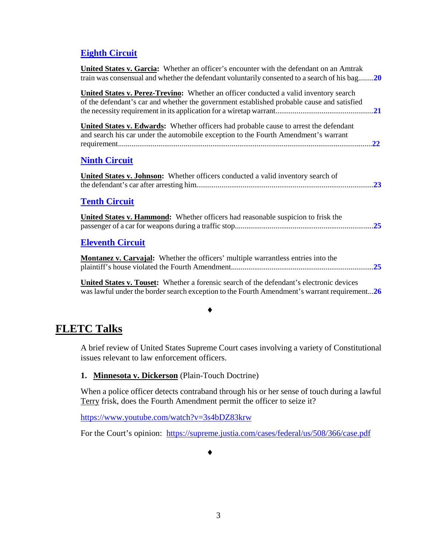### **[Eighth Circuit](#page-19-0)**

| <b>United States v. Garcia:</b> Whether an officer's encounter with the defendant on an Amtrak<br>train was consensual and whether the defendant voluntarily consented to a search of his bag20 |  |
|-------------------------------------------------------------------------------------------------------------------------------------------------------------------------------------------------|--|
| <b>United States v. Perez-Trevino:</b> Whether an officer conducted a valid inventory search<br>of the defendant's car and whether the government established probable cause and satisfied      |  |
| United States v. Edwards: Whether officers had probable cause to arrest the defendant<br>and search his car under the automobile exception to the Fourth Amendment's warrant                    |  |
| <b>Ninth Circuit</b>                                                                                                                                                                            |  |
| <b>United States v. Johnson:</b> Whether officers conducted a valid inventory search of                                                                                                         |  |
| <b>Tenth Circuit</b>                                                                                                                                                                            |  |
| <b>United States v. Hammond:</b> Whether officers had reasonable suspicion to frisk the                                                                                                         |  |
| <b>Eleventh Circuit</b>                                                                                                                                                                         |  |
| <b>Montanez v. Carvajal:</b> Whether the officers' multiple warrantless entries into the                                                                                                        |  |

**United States v. Touset:** Whether a forensic search of the defendant's electronic devices was lawful under the border search exception to the Fourth Amendment's warrant requirement...**[26](#page-25-0)**

#### ♦

# **FLETC Talks**

A brief review of United States Supreme Court cases involving a variety of Constitutional issues relevant to law enforcement officers.

### **1. Minnesota v. Dickerson** (Plain-Touch Doctrine)

When a police officer detects contraband through his or her sense of touch during a lawful Terry frisk, does the Fourth Amendment permit the officer to seize it?

<https://www.youtube.com/watch?v=3s4bDZ83krw>

For the Court's opinion: <https://supreme.justia.com/cases/federal/us/508/366/case.pdf>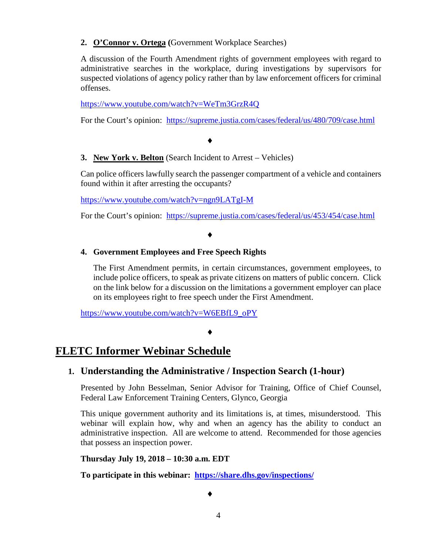### **2. O'Connor v. Ortega (**Government Workplace Searches)

A discussion of the Fourth Amendment rights of government employees with regard to administrative searches in the workplace, during investigations by supervisors for suspected violations of agency policy rather than by law enforcement officers for criminal offenses.

<https://www.youtube.com/watch?v=WeTm3GrzR4Q>

For the Court's opinion: <https://supreme.justia.com/cases/federal/us/480/709/case.html>

#### ♦

### **3. New York v. Belton** (Search Incident to Arrest – Vehicles)

Can police officers lawfully search the passenger compartment of a vehicle and containers found within it after arresting the occupants?

<https://www.youtube.com/watch?v=ngn9LATgI-M>

For the Court's opinion: <https://supreme.justia.com/cases/federal/us/453/454/case.html>

### ♦

### **4. Government Employees and Free Speech Rights**

The First Amendment permits, in certain circumstances, government employees, to include police officers, to speak as private citizens on matters of public concern. Click on the link below for a discussion on the limitations a government employer can place on its employees right to free speech under the First Amendment.

[https://www.youtube.com/watch?v=W6EBfL9\\_oPY](https://www.youtube.com/watch?v=W6EBfL9_oPY)

#### ♦

### **FLETC Informer Webinar Schedule**

### **1. Understanding the Administrative / Inspection Search (1-hour)**

Presented by John Besselman, Senior Advisor for Training, Office of Chief Counsel, Federal Law Enforcement Training Centers, Glynco, Georgia

This unique government authority and its limitations is, at times, misunderstood. This webinar will explain how, why and when an agency has the ability to conduct an administrative inspection. All are welcome to attend. Recommended for those agencies that possess an inspection power.

### **Thursday July 19, 2018 – 10:30 a.m. EDT**

**To participate in this webinar: <https://share.dhs.gov/inspections/>**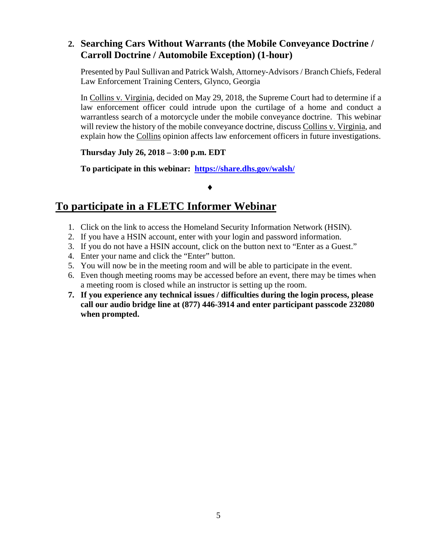### **2. Searching Cars Without Warrants (the Mobile Conveyance Doctrine / Carroll Doctrine / Automobile Exception) (1-hour)**

Presented by Paul Sullivan and Patrick Walsh, Attorney-Advisors / Branch Chiefs, Federal Law Enforcement Training Centers, Glynco, Georgia

In Collins v. Virginia, decided on May 29, 2018, the Supreme Court had to determine if a law enforcement officer could intrude upon the curtilage of a home and conduct a warrantless search of a motorcycle under the mobile conveyance doctrine. This webinar will review the history of the mobile conveyance doctrine, discuss Collins v. Virginia, and explain how the Collins opinion affects law enforcement officers in future investigations.

**Thursday July 26, 2018 – 3:00 p.m. EDT**

**To participate in this webinar: <https://share.dhs.gov/walsh/>**

### ♦

# **To participate in a FLETC Informer Webinar**

- 1. Click on the link to access the Homeland Security Information Network (HSIN).
- 2. If you have a HSIN account, enter with your login and password information.
- 3. If you do not have a HSIN account, click on the button next to "Enter as a Guest."
- 4. Enter your name and click the "Enter" button.
- 5. You will now be in the meeting room and will be able to participate in the event.
- 6. Even though meeting rooms may be accessed before an event, there may be times when a meeting room is closed while an instructor is setting up the room.
- **7. If you experience any technical issues / difficulties during the login process, please call our audio bridge line at (877) 446-3914 and enter participant passcode 232080 when prompted.**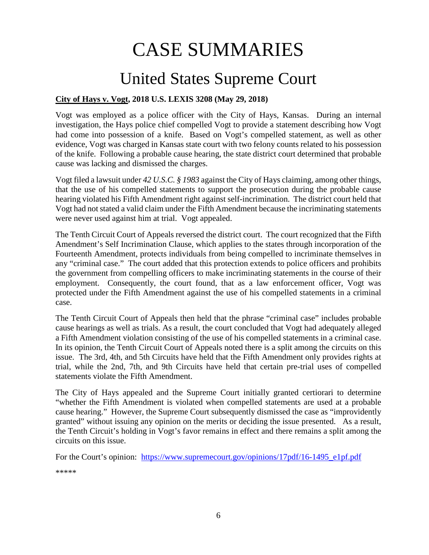# CASE SUMMARIES

# United States Supreme Court

### <span id="page-5-1"></span><span id="page-5-0"></span>**City of Hays v. Vogt, 2018 U.S. LEXIS 3208 (May 29, 2018)**

Vogt was employed as a police officer with the City of Hays, Kansas. During an internal investigation, the Hays police chief compelled Vogt to provide a statement describing how Vogt had come into possession of a knife. Based on Vogt's compelled statement, as well as other evidence, Vogt was charged in Kansas state court with two felony counts related to his possession of the knife. Following a probable cause hearing, the state district court determined that probable cause was lacking and dismissed the charges.

Vogt filed a lawsuit under *42 U.S.C. § 1983* against the City of Hays claiming, among other things, that the use of his compelled statements to support the prosecution during the probable cause hearing violated his Fifth Amendment right against self-incrimination. The district court held that Vogt had not stated a valid claim under the Fifth Amendment because the incriminating statements were never used against him at trial. Vogt appealed.

The Tenth Circuit Court of Appeals reversed the district court. The court recognized that the Fifth Amendment's Self Incrimination Clause, which applies to the states through incorporation of the Fourteenth Amendment, protects individuals from being compelled to incriminate themselves in any "criminal case." The court added that this protection extends to police officers and prohibits the government from compelling officers to make incriminating statements in the course of their employment. Consequently, the court found, that as a law enforcement officer, Vogt was protected under the Fifth Amendment against the use of his compelled statements in a criminal case.

The Tenth Circuit Court of Appeals then held that the phrase "criminal case" includes probable cause hearings as well as trials. As a result, the court concluded that Vogt had adequately alleged a Fifth Amendment violation consisting of the use of his compelled statements in a criminal case. In its opinion, the Tenth Circuit Court of Appeals noted there is a split among the circuits on this issue. The 3rd, 4th, and 5th Circuits have held that the Fifth Amendment only provides rights at trial, while the 2nd, 7th, and 9th Circuits have held that certain pre-trial uses of compelled statements violate the Fifth Amendment.

The City of Hays appealed and the Supreme Court initially granted certiorari to determine "whether the Fifth Amendment is violated when compelled statements are used at a probable cause hearing." However, the Supreme Court subsequently dismissed the case as "improvidently granted" without issuing any opinion on the merits or deciding the issue presented. As a result, the Tenth Circuit's holding in Vogt's favor remains in effect and there remains a split among the circuits on this issue.

For the Court's opinion: [https://www.supremecourt.gov/opinions/17pdf/16-1495\\_e1pf.pdf](https://www.supremecourt.gov/opinions/17pdf/16-1495_e1pf.pdf)

\*\*\*\*\*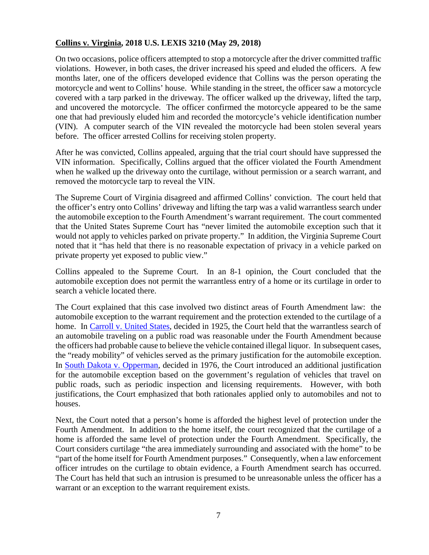### <span id="page-6-0"></span>**Collins v. Virginia, 2018 U.S. LEXIS 3210 (May 29, 2018)**

On two occasions, police officers attempted to stop a motorcycle after the driver committed traffic violations. However, in both cases, the driver increased his speed and eluded the officers. A few months later, one of the officers developed evidence that Collins was the person operating the motorcycle and went to Collins' house. While standing in the street, the officer saw a motorcycle covered with a tarp parked in the driveway. The officer walked up the driveway, lifted the tarp, and uncovered the motorcycle. The officer confirmed the motorcycle appeared to be the same one that had previously eluded him and recorded the motorcycle's vehicle identification number (VIN). A computer search of the VIN revealed the motorcycle had been stolen several years before. The officer arrested Collins for receiving stolen property.

After he was convicted, Collins appealed, arguing that the trial court should have suppressed the VIN information. Specifically, Collins argued that the officer violated the Fourth Amendment when he walked up the driveway onto the curtilage, without permission or a search warrant, and removed the motorcycle tarp to reveal the VIN.

The Supreme Court of Virginia disagreed and affirmed Collins' conviction. The court held that the officer's entry onto Collins' driveway and lifting the tarp was a valid warrantless search under the automobile exception to the Fourth Amendment's warrant requirement. The court commented that the United States Supreme Court has "never limited the automobile exception such that it would not apply to vehicles parked on private property." In addition, the Virginia Supreme Court noted that it "has held that there is no reasonable expectation of privacy in a vehicle parked on private property yet exposed to public view."

Collins appealed to the Supreme Court. In an 8-1 opinion, the Court concluded that the automobile exception does not permit the warrantless entry of a home or its curtilage in order to search a vehicle located there.

The Court explained that this case involved two distinct areas of Fourth Amendment law: the automobile exception to the warrant requirement and the protection extended to the curtilage of a home. In [Carroll v. United States,](https://supreme.justia.com/cases/federal/us/267/132/case.html) decided in 1925, the Court held that the warrantless search of an automobile traveling on a public road was reasonable under the Fourth Amendment because the officers had probable cause to believe the vehicle contained illegal liquor. In subsequent cases, the "ready mobility" of vehicles served as the primary justification for the automobile exception. In [South Dakota v. Opperman,](https://supreme.justia.com/cases/federal/us/428/364/case.html) decided in 1976, the Court introduced an additional justification for the automobile exception based on the government's regulation of vehicles that travel on public roads, such as periodic inspection and licensing requirements. However, with both justifications, the Court emphasized that both rationales applied only to automobiles and not to houses.

Next, the Court noted that a person's home is afforded the highest level of protection under the Fourth Amendment. In addition to the home itself, the court recognized that the curtilage of a home is afforded the same level of protection under the Fourth Amendment. Specifically, the Court considers curtilage "the area immediately surrounding and associated with the home" to be "part of the home itself for Fourth Amendment purposes." Consequently, when a law enforcement officer intrudes on the curtilage to obtain evidence, a Fourth Amendment search has occurred. The Court has held that such an intrusion is presumed to be unreasonable unless the officer has a warrant or an exception to the warrant requirement exists.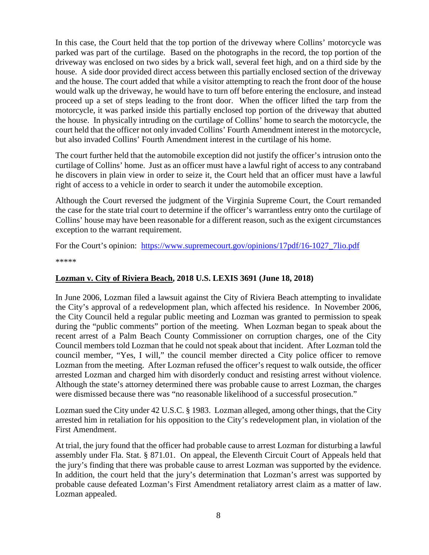In this case, the Court held that the top portion of the driveway where Collins' motorcycle was parked was part of the curtilage. Based on the photographs in the record, the top portion of the driveway was enclosed on two sides by a brick wall, several feet high, and on a third side by the house. A side door provided direct access between this partially enclosed section of the driveway and the house. The court added that while a visitor attempting to reach the front door of the house would walk up the driveway, he would have to turn off before entering the enclosure, and instead proceed up a set of steps leading to the front door. When the officer lifted the tarp from the motorcycle, it was parked inside this partially enclosed top portion of the driveway that abutted the house. In physically intruding on the curtilage of Collins' home to search the motorcycle, the court held that the officer not only invaded Collins' Fourth Amendment interest in the motorcycle, but also invaded Collins' Fourth Amendment interest in the curtilage of his home.

The court further held that the automobile exception did not justify the officer's intrusion onto the curtilage of Collins' home. Just as an officer must have a lawful right of access to any contraband he discovers in plain view in order to seize it, the Court held that an officer must have a lawful right of access to a vehicle in order to search it under the automobile exception.

Although the Court reversed the judgment of the Virginia Supreme Court, the Court remanded the case for the state trial court to determine if the officer's warrantless entry onto the curtilage of Collins' house may have been reasonable for a different reason, such as the exigent circumstances exception to the warrant requirement.

For the Court's opinion: [https://www.supremecourt.gov/opinions/17pdf/16-1027\\_7lio.pdf](https://www.supremecourt.gov/opinions/17pdf/16-1027_7lio.pdf)

\*\*\*\*\*

### <span id="page-7-0"></span>**Lozman v. City of Riviera Beach, 2018 U.S. LEXIS 3691 (June 18, 2018)**

In June 2006, Lozman filed a lawsuit against the City of Riviera Beach attempting to invalidate the City's approval of a redevelopment plan, which affected his residence. In November 2006, the City Council held a regular public meeting and Lozman was granted to permission to speak during the "public comments" portion of the meeting. When Lozman began to speak about the recent arrest of a Palm Beach County Commissioner on corruption charges, one of the City Council members told Lozman that he could not speak about that incident. After Lozman told the council member, "Yes, I will," the council member directed a City police officer to remove Lozman from the meeting. After Lozman refused the officer's request to walk outside, the officer arrested Lozman and charged him with disorderly conduct and resisting arrest without violence. Although the state's attorney determined there was probable cause to arrest Lozman, the charges were dismissed because there was "no reasonable likelihood of a successful prosecution."

Lozman sued the City under 42 U.S.C. § 1983. Lozman alleged, among other things, that the City arrested him in retaliation for his opposition to the City's redevelopment plan, in violation of the First Amendment.

At trial, the jury found that the officer had probable cause to arrest Lozman for disturbing a lawful assembly under Fla. Stat. § 871.01. On appeal, the Eleventh Circuit Court of Appeals held that the jury's finding that there was probable cause to arrest Lozman was supported by the evidence. In addition, the court held that the jury's determination that Lozman's arrest was supported by probable cause defeated Lozman's First Amendment retaliatory arrest claim as a matter of law. Lozman appealed.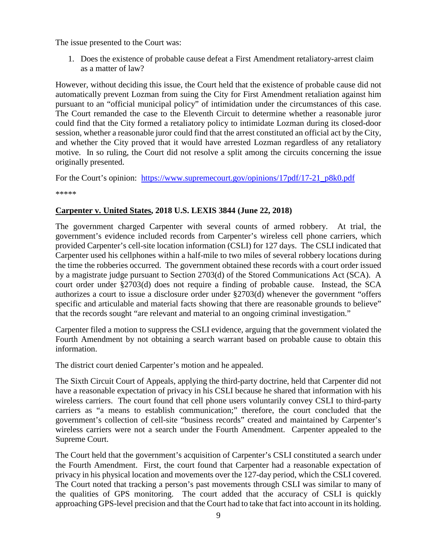The issue presented to the Court was:

1. Does the existence of probable cause defeat a First Amendment retaliatory-arrest claim as a matter of law?

However, without deciding this issue, the Court held that the existence of probable cause did not automatically prevent Lozman from suing the City for First Amendment retaliation against him pursuant to an "official municipal policy" of intimidation under the circumstances of this case. The Court remanded the case to the Eleventh Circuit to determine whether a reasonable juror could find that the City formed a retaliatory policy to intimidate Lozman during its closed-door session, whether a reasonable juror could find that the arrest constituted an official act by the City, and whether the City proved that it would have arrested Lozman regardless of any retaliatory motive. In so ruling, the Court did not resolve a split among the circuits concerning the issue originally presented.

For the Court's opinion: https://www.supremecourt.gov/opinions/17pdf/17-21 p8k0.pdf

\*\*\*\*\*

### <span id="page-8-0"></span>**Carpenter v. United States, 2018 U.S. LEXIS 3844 (June 22, 2018)**

The government charged Carpenter with several counts of armed robbery. At trial, the government's evidence included records from Carpenter's wireless cell phone carriers, which provided Carpenter's cell-site location information (CSLI) for 127 days. The CSLI indicated that Carpenter used his cellphones within a half-mile to two miles of several robbery locations during the time the robberies occurred. The government obtained these records with a court order issued by a magistrate judge pursuant to Section 2703(d) of the Stored Communications Act (SCA). A court order under §2703(d) does not require a finding of probable cause. Instead, the SCA authorizes a court to issue a disclosure order under §2703(d) whenever the government "offers specific and articulable and material facts showing that there are reasonable grounds to believe" that the records sought "are relevant and material to an ongoing criminal investigation."

Carpenter filed a motion to suppress the CSLI evidence, arguing that the government violated the Fourth Amendment by not obtaining a search warrant based on probable cause to obtain this information.

The district court denied Carpenter's motion and he appealed.

The Sixth Circuit Court of Appeals, applying the third-party doctrine, held that Carpenter did not have a reasonable expectation of privacy in his CSLI because he shared that information with his wireless carriers. The court found that cell phone users voluntarily convey CSLI to third-party carriers as "a means to establish communication;" therefore, the court concluded that the government's collection of cell-site "business records" created and maintained by Carpenter's wireless carriers were not a search under the Fourth Amendment. Carpenter appealed to the Supreme Court.

The Court held that the government's acquisition of Carpenter's CSLI constituted a search under the Fourth Amendment. First, the court found that Carpenter had a reasonable expectation of privacy in his physical location and movements over the 127-day period, which the CSLI covered. The Court noted that tracking a person's past movements through CSLI was similar to many of the qualities of GPS monitoring. The court added that the accuracy of CSLI is quickly approaching GPS-level precision and that the Court had to take that fact into account in its holding.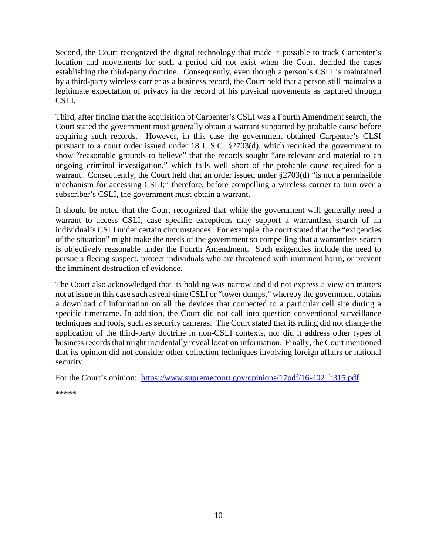Second, the Court recognized the digital technology that made it possible to track Carpenter's location and movements for such a period did not exist when the Court decided the cases establishing the third-party doctrine. Consequently, even though a person's CSLI is maintained by a third-party wireless carrier as a business record, the Court held that a person still maintains a legitimate expectation of privacy in the record of his physical movements as captured through CSLI.

Third, after finding that the acquisition of Carpenter's CSLI was a Fourth Amendment search, the Court stated the government must generally obtain a warrant supported by probable cause before acquiring such records. However, in this case the government obtained Carpenter's CLSI pursuant to a court order issued under 18 U.S.C. §2703(d), which required the government to show "reasonable grounds to believe" that the records sought "are relevant and material to an ongoing criminal investigation," which falls well short of the probable cause required for a warrant. Consequently, the Court held that an order issued under §2703(d) "is not a permissible mechanism for accessing CSLI;" therefore, before compelling a wireless carrier to turn over a subscriber's CSLI, the government must obtain a warrant.

It should be noted that the Court recognized that while the government will generally need a warrant to access CSLI, case specific exceptions may support a warrantless search of an individual's CSLI under certain circumstances. For example, the court stated that the "exigencies of the situation" might make the needs of the government so compelling that a warrantless search is objectively reasonable under the Fourth Amendment. Such exigencies include the need to pursue a fleeing suspect, protect individuals who are threatened with imminent harm, or prevent the imminent destruction of evidence.

The Court also acknowledged that its holding was narrow and did not express a view on matters not at issue in this case such as real-time CSLI or "tower dumps," whereby the government obtains a download of information on all the devices that connected to a particular cell site during a specific timeframe. In addition, the Court did not call into question conventional surveillance techniques and tools, such as security cameras. The Court stated that its ruling did not change the application of the third-party doctrine in non-CSLI contexts, nor did it address other types of business records that might incidentally reveal location information. Finally, the Court mentioned that its opinion did not consider other collection techniques involving foreign affairs or national security.

For the Court's opinion: [https://www.supremecourt.gov/opinions/17pdf/16-402\\_h315.pdf](https://www.supremecourt.gov/opinions/17pdf/16-402_h315.pdf)

\*\*\*\*\*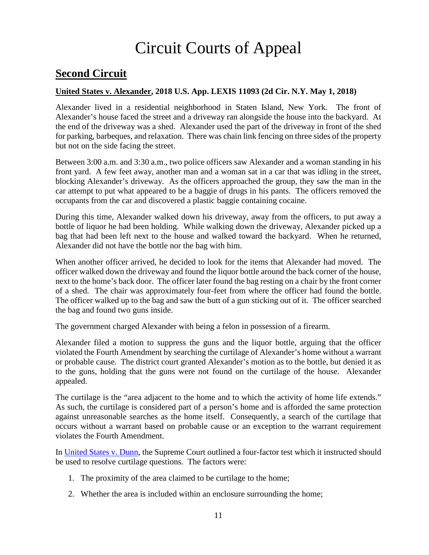# Circuit Courts of Appeal

# <span id="page-10-0"></span>**Second Circuit**

### <span id="page-10-1"></span>**United States v. Alexander, 2018 U.S. App. LEXIS 11093 (2d Cir. N.Y. May 1, 2018)**

Alexander lived in a residential neighborhood in Staten Island, New York. The front of Alexander's house faced the street and a driveway ran alongside the house into the backyard. At the end of the driveway was a shed. Alexander used the part of the driveway in front of the shed for parking, barbeques, and relaxation. There was chain link fencing on three sides of the property but not on the side facing the street.

Between 3:00 a.m. and 3:30 a.m., two police officers saw Alexander and a woman standing in his front yard. A few feet away, another man and a woman sat in a car that was idling in the street, blocking Alexander's driveway. As the officers approached the group, they saw the man in the car attempt to put what appeared to be a baggie of drugs in his pants. The officers removed the occupants from the car and discovered a plastic baggie containing cocaine.

During this time, Alexander walked down his driveway, away from the officers, to put away a bottle of liquor he had been holding. While walking down the driveway, Alexander picked up a bag that had been left next to the house and walked toward the backyard. When he returned, Alexander did not have the bottle nor the bag with him.

When another officer arrived, he decided to look for the items that Alexander had moved. The officer walked down the driveway and found the liquor bottle around the back corner of the house, next to the home's back door. The officer later found the bag resting on a chair by the front corner of a shed. The chair was approximately four-feet from where the officer had found the bottle. The officer walked up to the bag and saw the butt of a gun sticking out of it. The officer searched the bag and found two guns inside.

The government charged Alexander with being a felon in possession of a firearm.

Alexander filed a motion to suppress the guns and the liquor bottle, arguing that the officer violated the Fourth Amendment by searching the curtilage of Alexander's home without a warrant or probable cause. The district court granted Alexander's motion as to the bottle, but denied it as to the guns, holding that the guns were not found on the curtilage of the house. Alexander appealed.

The curtilage is the "area adjacent to the home and to which the activity of home life extends." As such, the curtilage is considered part of a person's home and is afforded the same protection against unreasonable searches as the home itself. Consequently, a search of the curtilage that occurs without a warrant based on probable cause or an exception to the warrant requirement violates the Fourth Amendment.

In [United States v. Dunn,](https://supreme.justia.com/cases/federal/us/480/294/case.html) the Supreme Court outlined a four-factor test which it instructed should be used to resolve curtilage questions. The factors were:

- 1. The proximity of the area claimed to be curtilage to the home;
- 2. Whether the area is included within an enclosure surrounding the home;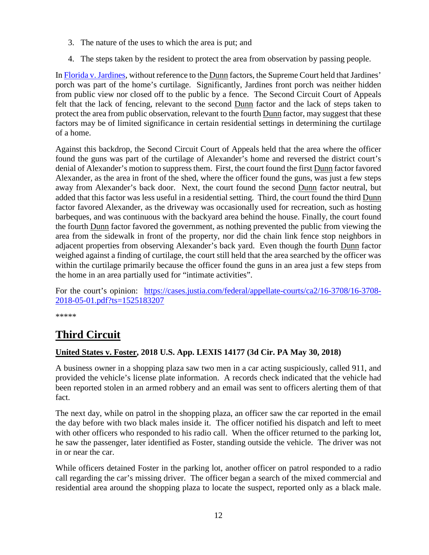- 3. The nature of the uses to which the area is put; and
- 4. The steps taken by the resident to protect the area from observation by passing people.

I[n Florida v. Jardines,](https://supreme.justia.com/cases/federal/us/569/11-564/case.pdf) without reference to the Dunn factors, the Supreme Court held that Jardines' porch was part of the home's curtilage. Significantly, Jardines front porch was neither hidden from public view nor closed off to the public by a fence. The Second Circuit Court of Appeals felt that the lack of fencing, relevant to the second Dunn factor and the lack of steps taken to protect the area from public observation, relevant to the fourth Dunn factor, may suggest that these factors may be of limited significance in certain residential settings in determining the curtilage of a home.

Against this backdrop, the Second Circuit Court of Appeals held that the area where the officer found the guns was part of the curtilage of Alexander's home and reversed the district court's denial of Alexander's motion to suppress them. First, the court found the first Dunn factor favored Alexander, as the area in front of the shed, where the officer found the guns, was just a few steps away from Alexander's back door. Next, the court found the second Dunn factor neutral, but added that this factor was less useful in a residential setting. Third, the court found the third Dunn factor favored Alexander, as the driveway was occasionally used for recreation, such as hosting barbeques, and was continuous with the backyard area behind the house. Finally, the court found the fourth Dunn factor favored the government, as nothing prevented the public from viewing the area from the sidewalk in front of the property, nor did the chain link fence stop neighbors in adjacent properties from observing Alexander's back yard. Even though the fourth Dunn factor weighed against a finding of curtilage, the court still held that the area searched by the officer was within the curtilage primarily because the officer found the guns in an area just a few steps from the home in an area partially used for "intimate activities".

For the court's opinion: [https://cases.justia.com/federal/appellate-courts/ca2/16-3708/16-3708-](https://cases.justia.com/federal/appellate-courts/ca2/16-3708/16-3708-2018-05-01.pdf?ts=1525183207) [2018-05-01.pdf?ts=1525183207](https://cases.justia.com/federal/appellate-courts/ca2/16-3708/16-3708-2018-05-01.pdf?ts=1525183207)

\*\*\*\*\*

# <span id="page-11-0"></span>**Third Circuit**

### <span id="page-11-1"></span>**United States v. Foster, 2018 U.S. App. LEXIS 14177 (3d Cir. PA May 30, 2018)**

A business owner in a shopping plaza saw two men in a car acting suspiciously, called 911, and provided the vehicle's license plate information. A records check indicated that the vehicle had been reported stolen in an armed robbery and an email was sent to officers alerting them of that fact.

The next day, while on patrol in the shopping plaza, an officer saw the car reported in the email the day before with two black males inside it. The officer notified his dispatch and left to meet with other officers who responded to his radio call. When the officer returned to the parking lot, he saw the passenger, later identified as Foster, standing outside the vehicle. The driver was not in or near the car.

While officers detained Foster in the parking lot, another officer on patrol responded to a radio call regarding the car's missing driver. The officer began a search of the mixed commercial and residential area around the shopping plaza to locate the suspect, reported only as a black male.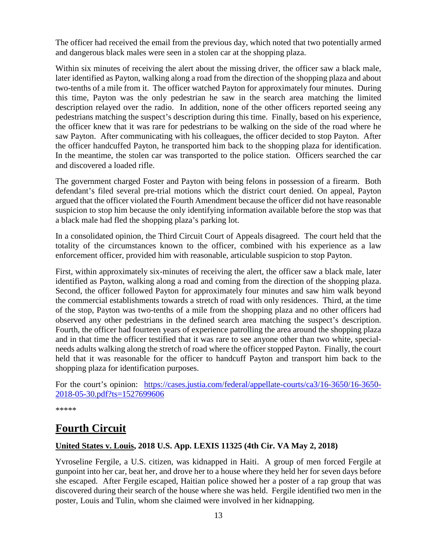The officer had received the email from the previous day, which noted that two potentially armed and dangerous black males were seen in a stolen car at the shopping plaza.

Within six minutes of receiving the alert about the missing driver, the officer saw a black male, later identified as Payton, walking along a road from the direction of the shopping plaza and about two-tenths of a mile from it. The officer watched Payton for approximately four minutes. During this time, Payton was the only pedestrian he saw in the search area matching the limited description relayed over the radio. In addition, none of the other officers reported seeing any pedestrians matching the suspect's description during this time. Finally, based on his experience, the officer knew that it was rare for pedestrians to be walking on the side of the road where he saw Payton. After communicating with his colleagues, the officer decided to stop Payton. After the officer handcuffed Payton, he transported him back to the shopping plaza for identification. In the meantime, the stolen car was transported to the police station. Officers searched the car and discovered a loaded rifle.

The government charged Foster and Payton with being felons in possession of a firearm. Both defendant's filed several pre-trial motions which the district court denied. On appeal, Payton argued that the officer violated the Fourth Amendment because the officer did not have reasonable suspicion to stop him because the only identifying information available before the stop was that a black male had fled the shopping plaza's parking lot.

In a consolidated opinion, the Third Circuit Court of Appeals disagreed. The court held that the totality of the circumstances known to the officer, combined with his experience as a law enforcement officer, provided him with reasonable, articulable suspicion to stop Payton.

First, within approximately six-minutes of receiving the alert, the officer saw a black male, later identified as Payton, walking along a road and coming from the direction of the shopping plaza. Second, the officer followed Payton for approximately four minutes and saw him walk beyond the commercial establishments towards a stretch of road with only residences. Third, at the time of the stop, Payton was two-tenths of a mile from the shopping plaza and no other officers had observed any other pedestrians in the defined search area matching the suspect's description. Fourth, the officer had fourteen years of experience patrolling the area around the shopping plaza and in that time the officer testified that it was rare to see anyone other than two white, specialneeds adults walking along the stretch of road where the officer stopped Payton. Finally, the court held that it was reasonable for the officer to handcuff Payton and transport him back to the shopping plaza for identification purposes.

For the court's opinion: [https://cases.justia.com/federal/appellate-courts/ca3/16-3650/16-3650-](https://cases.justia.com/federal/appellate-courts/ca3/16-3650/16-3650-2018-05-30.pdf?ts=1527699606) [2018-05-30.pdf?ts=1527699606](https://cases.justia.com/federal/appellate-courts/ca3/16-3650/16-3650-2018-05-30.pdf?ts=1527699606)

\*\*\*\*\*

### <span id="page-12-0"></span>**Fourth Circuit**

### <span id="page-12-1"></span>**United States v. Louis, 2018 U.S. App. LEXIS 11325 (4th Cir. VA May 2, 2018)**

Yvroseline Fergile, a U.S. citizen, was kidnapped in Haiti. A group of men forced Fergile at gunpoint into her car, beat her, and drove her to a house where they held her for seven days before she escaped. After Fergile escaped, Haitian police showed her a poster of a rap group that was discovered during their search of the house where she was held. Fergile identified two men in the poster, Louis and Tulin, whom she claimed were involved in her kidnapping.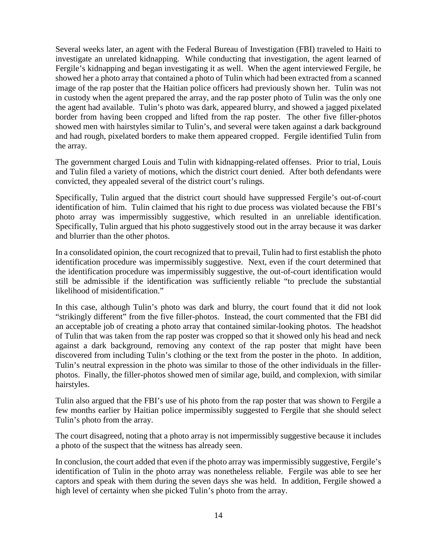Several weeks later, an agent with the Federal Bureau of Investigation (FBI) traveled to Haiti to investigate an unrelated kidnapping. While conducting that investigation, the agent learned of Fergile's kidnapping and began investigating it as well. When the agent interviewed Fergile, he showed her a photo array that contained a photo of Tulin which had been extracted from a scanned image of the rap poster that the Haitian police officers had previously shown her. Tulin was not in custody when the agent prepared the array, and the rap poster photo of Tulin was the only one the agent had available. Tulin's photo was dark, appeared blurry, and showed a jagged pixelated border from having been cropped and lifted from the rap poster. The other five filler-photos showed men with hairstyles similar to Tulin's, and several were taken against a dark background and had rough, pixelated borders to make them appeared cropped. Fergile identified Tulin from the array.

The government charged Louis and Tulin with kidnapping-related offenses. Prior to trial, Louis and Tulin filed a variety of motions, which the district court denied. After both defendants were convicted, they appealed several of the district court's rulings.

Specifically, Tulin argued that the district court should have suppressed Fergile's out-of-court identification of him. Tulin claimed that his right to due process was violated because the FBI's photo array was impermissibly suggestive, which resulted in an unreliable identification. Specifically, Tulin argued that his photo suggestively stood out in the array because it was darker and blurrier than the other photos.

In a consolidated opinion, the court recognized that to prevail, Tulin had to first establish the photo identification procedure was impermissibly suggestive. Next, even if the court determined that the identification procedure was impermissibly suggestive, the out-of-court identification would still be admissible if the identification was sufficiently reliable "to preclude the substantial likelihood of misidentification."

In this case, although Tulin's photo was dark and blurry, the court found that it did not look "strikingly different" from the five filler-photos. Instead, the court commented that the FBI did an acceptable job of creating a photo array that contained similar-looking photos. The headshot of Tulin that was taken from the rap poster was cropped so that it showed only his head and neck against a dark background, removing any context of the rap poster that might have been discovered from including Tulin's clothing or the text from the poster in the photo. In addition, Tulin's neutral expression in the photo was similar to those of the other individuals in the fillerphotos. Finally, the filler-photos showed men of similar age, build, and complexion, with similar hairstyles.

Tulin also argued that the FBI's use of his photo from the rap poster that was shown to Fergile a few months earlier by Haitian police impermissibly suggested to Fergile that she should select Tulin's photo from the array.

The court disagreed, noting that a photo array is not impermissibly suggestive because it includes a photo of the suspect that the witness has already seen.

In conclusion, the court added that even if the photo array was impermissibly suggestive, Fergile's identification of Tulin in the photo array was nonetheless reliable. Fergile was able to see her captors and speak with them during the seven days she was held. In addition, Fergile showed a high level of certainty when she picked Tulin's photo from the array.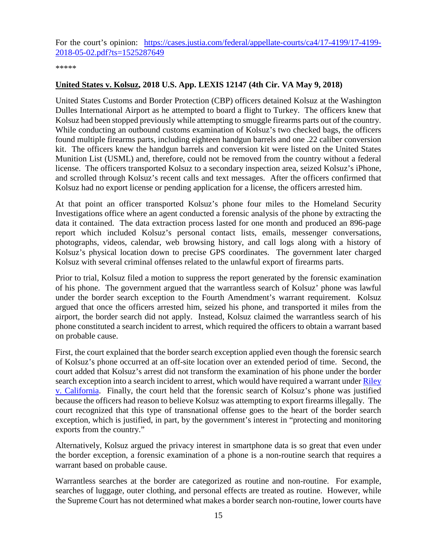For the court's opinion: [https://cases.justia.com/federal/appellate-courts/ca4/17-4199/17-4199-](https://cases.justia.com/federal/appellate-courts/ca4/17-4199/17-4199-2018-05-02.pdf?ts=1525287649) [2018-05-02.pdf?ts=1525287649](https://cases.justia.com/federal/appellate-courts/ca4/17-4199/17-4199-2018-05-02.pdf?ts=1525287649)

\*\*\*\*\*

### <span id="page-14-0"></span>**United States v. Kolsuz, 2018 U.S. App. LEXIS 12147 (4th Cir. VA May 9, 2018)**

United States Customs and Border Protection (CBP) officers detained Kolsuz at the Washington Dulles International Airport as he attempted to board a flight to Turkey. The officers knew that Kolsuz had been stopped previously while attempting to smuggle firearms parts out of the country. While conducting an outbound customs examination of Kolsuz's two checked bags, the officers found multiple firearms parts, including eighteen handgun barrels and one .22 caliber conversion kit. The officers knew the handgun barrels and conversion kit were listed on the United States Munition List (USML) and, therefore, could not be removed from the country without a federal license. The officers transported Kolsuz to a secondary inspection area, seized Kolsuz's iPhone, and scrolled through Kolsuz's recent calls and text messages. After the officers confirmed that Kolsuz had no export license or pending application for a license, the officers arrested him.

At that point an officer transported Kolsuz's phone four miles to the Homeland Security Investigations office where an agent conducted a forensic analysis of the phone by extracting the data it contained. The data extraction process lasted for one month and produced an 896-page report which included Kolsuz's personal contact lists, emails, messenger conversations, photographs, videos, calendar, web browsing history, and call logs along with a history of Kolsuz's physical location down to precise GPS coordinates. The government later charged Kolsuz with several criminal offenses related to the unlawful export of firearms parts.

Prior to trial, Kolsuz filed a motion to suppress the report generated by the forensic examination of his phone. The government argued that the warrantless search of Kolsuz' phone was lawful under the border search exception to the Fourth Amendment's warrant requirement. Kolsuz argued that once the officers arrested him, seized his phone, and transported it miles from the airport, the border search did not apply. Instead, Kolsuz claimed the warrantless search of his phone constituted a search incident to arrest, which required the officers to obtain a warrant based on probable cause.

First, the court explained that the border search exception applied even though the forensic search of Kolsuz's phone occurred at an off-site location over an extended period of time. Second, the court added that Kolsuz's arrest did not transform the examination of his phone under the border search exception into a search incident to arrest, which would have required a warrant under Riley [v. California.](https://www.supremecourt.gov/opinions/13pdf/13-132_8l9c.pdf) Finally, the court held that the forensic search of Kolsuz's phone was justified because the officers had reason to believe Kolsuz was attempting to export firearms illegally. The court recognized that this type of transnational offense goes to the heart of the border search exception, which is justified, in part, by the government's interest in "protecting and monitoring exports from the country."

Alternatively, Kolsuz argued the privacy interest in smartphone data is so great that even under the border exception, a forensic examination of a phone is a non-routine search that requires a warrant based on probable cause.

Warrantless searches at the border are categorized as routine and non-routine. For example, searches of luggage, outer clothing, and personal effects are treated as routine. However, while the Supreme Court has not determined what makes a border search non-routine, lower courts have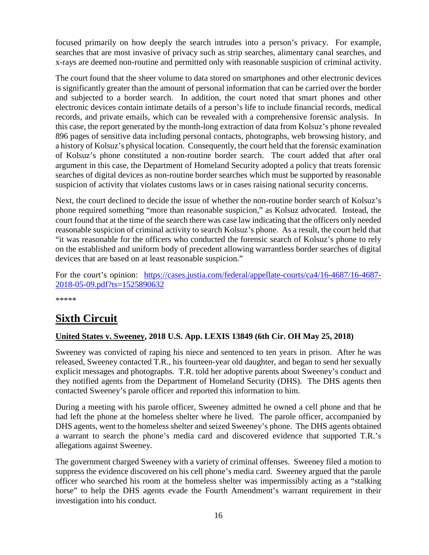focused primarily on how deeply the search intrudes into a person's privacy. For example, searches that are most invasive of privacy such as strip searches, alimentary canal searches, and x-rays are deemed non-routine and permitted only with reasonable suspicion of criminal activity.

The court found that the sheer volume to data stored on smartphones and other electronic devices is significantly greater than the amount of personal information that can be carried over the border and subjected to a border search. In addition, the court noted that smart phones and other electronic devices contain intimate details of a person's life to include financial records, medical records, and private emails, which can be revealed with a comprehensive forensic analysis. In this case, the report generated by the month-long extraction of data from Kolsuz's phone revealed 896 pages of sensitive data including personal contacts, photographs, web browsing history, and a history of Kolsuz's physical location. Consequently, the court held that the forensic examination of Kolsuz's phone constituted a non-routine border search. The court added that after oral argument in this case, the Department of Homeland Security adopted a policy that treats forensic searches of digital devices as non-routine border searches which must be supported by reasonable suspicion of activity that violates customs laws or in cases raising national security concerns.

Next, the court declined to decide the issue of whether the non-routine border search of Kolsuz's phone required something "more than reasonable suspicion," as Kolsuz advocated. Instead, the court found that at the time of the search there was case law indicating that the officers only needed reasonable suspicion of criminal activity to search Kolsuz's phone. As a result, the court held that "it was reasonable for the officers who conducted the forensic search of Kolsuz's phone to rely on the established and uniform body of precedent allowing warrantless border searches of digital devices that are based on at least reasonable suspicion."

For the court's opinion: [https://cases.justia.com/federal/appellate-courts/ca4/16-4687/16-4687-](https://cases.justia.com/federal/appellate-courts/ca4/16-4687/16-4687-2018-05-09.pdf?ts=1525890632) [2018-05-09.pdf?ts=1525890632](https://cases.justia.com/federal/appellate-courts/ca4/16-4687/16-4687-2018-05-09.pdf?ts=1525890632)

\*\*\*\*\*

# <span id="page-15-0"></span>**Sixth Circuit**

### <span id="page-15-1"></span>**United States v. Sweeney, 2018 U.S. App. LEXIS 13849 (6th Cir. OH May 25, 2018)**

Sweeney was convicted of raping his niece and sentenced to ten years in prison. After he was released, Sweeney contacted T.R., his fourteen-year old daughter, and began to send her sexually explicit messages and photographs. T.R. told her adoptive parents about Sweeney's conduct and they notified agents from the Department of Homeland Security (DHS). The DHS agents then contacted Sweeney's parole officer and reported this information to him.

During a meeting with his parole officer, Sweeney admitted he owned a cell phone and that he had left the phone at the homeless shelter where he lived. The parole officer, accompanied by DHS agents, went to the homeless shelter and seized Sweeney's phone. The DHS agents obtained a warrant to search the phone's media card and discovered evidence that supported T.R.'s allegations against Sweeney.

The government charged Sweeney with a variety of criminal offenses. Sweeney filed a motion to suppress the evidence discovered on his cell phone's media card. Sweeney argued that the parole officer who searched his room at the homeless shelter was impermissibly acting as a "stalking horse" to help the DHS agents evade the Fourth Amendment's warrant requirement in their investigation into his conduct.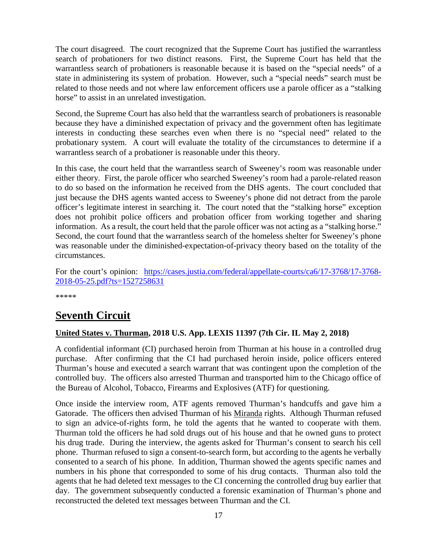The court disagreed. The court recognized that the Supreme Court has justified the warrantless search of probationers for two distinct reasons. First, the Supreme Court has held that the warrantless search of probationers is reasonable because it is based on the "special needs" of a state in administering its system of probation. However, such a "special needs" search must be related to those needs and not where law enforcement officers use a parole officer as a "stalking horse" to assist in an unrelated investigation.

Second, the Supreme Court has also held that the warrantless search of probationers is reasonable because they have a diminished expectation of privacy and the government often has legitimate interests in conducting these searches even when there is no "special need" related to the probationary system. A court will evaluate the totality of the circumstances to determine if a warrantless search of a probationer is reasonable under this theory.

In this case, the court held that the warrantless search of Sweeney's room was reasonable under either theory. First, the parole officer who searched Sweeney's room had a parole-related reason to do so based on the information he received from the DHS agents. The court concluded that just because the DHS agents wanted access to Sweeney's phone did not detract from the parole officer's legitimate interest in searching it. The court noted that the "stalking horse" exception does not prohibit police officers and probation officer from working together and sharing information. As a result, the court held that the parole officer was not acting as a "stalking horse." Second, the court found that the warrantless search of the homeless shelter for Sweeney's phone was reasonable under the diminished-expectation-of-privacy theory based on the totality of the circumstances.

For the court's opinion: [https://cases.justia.com/federal/appellate-courts/ca6/17-3768/17-3768-](https://cases.justia.com/federal/appellate-courts/ca6/17-3768/17-3768-2018-05-25.pdf?ts=1527258631) [2018-05-25.pdf?ts=1527258631](https://cases.justia.com/federal/appellate-courts/ca6/17-3768/17-3768-2018-05-25.pdf?ts=1527258631)

\*\*\*\*\*

## <span id="page-16-0"></span>**Seventh Circuit**

### <span id="page-16-1"></span>**United States v. Thurman, 2018 U.S. App. LEXIS 11397 (7th Cir. IL May 2, 2018)**

A confidential informant (CI) purchased heroin from Thurman at his house in a controlled drug purchase. After confirming that the CI had purchased heroin inside, police officers entered Thurman's house and executed a search warrant that was contingent upon the completion of the controlled buy. The officers also arrested Thurman and transported him to the Chicago office of the Bureau of Alcohol, Tobacco, Firearms and Explosives (ATF) for questioning.

Once inside the interview room, ATF agents removed Thurman's handcuffs and gave him a Gatorade. The officers then advised Thurman of his Miranda rights. Although Thurman refused to sign an advice-of-rights form, he told the agents that he wanted to cooperate with them. Thurman told the officers he had sold drugs out of his house and that he owned guns to protect his drug trade. During the interview, the agents asked for Thurman's consent to search his cell phone. Thurman refused to sign a consent-to-search form, but according to the agents he verbally consented to a search of his phone. In addition, Thurman showed the agents specific names and numbers in his phone that corresponded to some of his drug contacts. Thurman also told the agents that he had deleted text messages to the CI concerning the controlled drug buy earlier that day. The government subsequently conducted a forensic examination of Thurman's phone and reconstructed the deleted text messages between Thurman and the CI.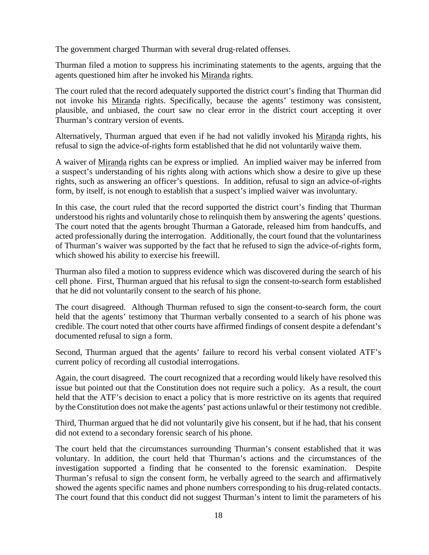The government charged Thurman with several drug-related offenses.

Thurman filed a motion to suppress his incriminating statements to the agents, arguing that the agents questioned him after he invoked his Miranda rights.

The court ruled that the record adequately supported the district court's finding that Thurman did not invoke his Miranda rights. Specifically, because the agents' testimony was consistent, plausible, and unbiased, the court saw no clear error in the district court accepting it over Thurman's contrary version of events.

Alternatively, Thurman argued that even if he had not validly invoked his Miranda rights, his refusal to sign the advice-of-rights form established that he did not voluntarily waive them.

A waiver of Miranda rights can be express or implied. An implied waiver may be inferred from a suspect's understanding of his rights along with actions which show a desire to give up these rights, such as answering an officer's questions. In addition, refusal to sign an advice-of-rights form, by itself, is not enough to establish that a suspect's implied waiver was involuntary.

In this case, the court ruled that the record supported the district court's finding that Thurman understood his rights and voluntarily chose to relinquish them by answering the agents' questions. The court noted that the agents brought Thurman a Gatorade, released him from handcuffs, and acted professionally during the interrogation. Additionally, the court found that the voluntariness of Thurman's waiver was supported by the fact that he refused to sign the advice-of-rights form, which showed his ability to exercise his freewill.

Thurman also filed a motion to suppress evidence which was discovered during the search of his cell phone. First, Thurman argued that his refusal to sign the consent-to-search form established that he did not voluntarily consent to the search of his phone.

The court disagreed. Although Thurman refused to sign the consent-to-search form, the court held that the agents' testimony that Thurman verbally consented to a search of his phone was credible. The court noted that other courts have affirmed findings of consent despite a defendant's documented refusal to sign a form.

Second, Thurman argued that the agents' failure to record his verbal consent violated ATF's current policy of recording all custodial interrogations.

Again, the court disagreed. The court recognized that a recording would likely have resolved this issue but pointed out that the Constitution does not require such a policy. As a result, the court held that the ATF's decision to enact a policy that is more restrictive on its agents that required by the Constitution does not make the agents' past actions unlawful or their testimony not credible.

Third, Thurman argued that he did not voluntarily give his consent, but if he had, that his consent did not extend to a secondary forensic search of his phone.

The court held that the circumstances surrounding Thurman's consent established that it was voluntary. In addition, the court held that Thurman's actions and the circumstances of the investigation supported a finding that he consented to the forensic examination. Despite Thurman's refusal to sign the consent form, he verbally agreed to the search and affirmatively showed the agents specific names and phone numbers corresponding to his drug-related contacts. The court found that this conduct did not suggest Thurman's intent to limit the parameters of his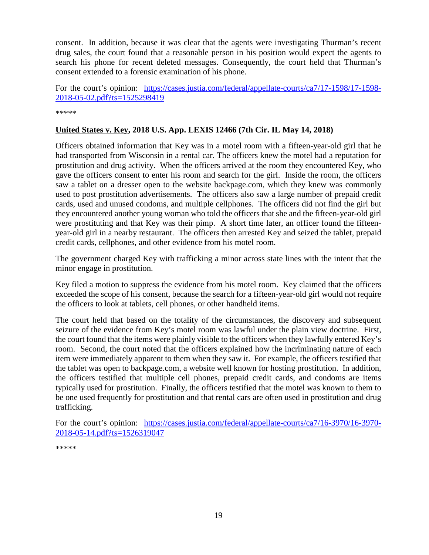consent. In addition, because it was clear that the agents were investigating Thurman's recent drug sales, the court found that a reasonable person in his position would expect the agents to search his phone for recent deleted messages. Consequently, the court held that Thurman's consent extended to a forensic examination of his phone.

For the court's opinion: [https://cases.justia.com/federal/appellate-courts/ca7/17-1598/17-1598-](https://cases.justia.com/federal/appellate-courts/ca7/17-1598/17-1598-2018-05-02.pdf?ts=1525298419) [2018-05-02.pdf?ts=1525298419](https://cases.justia.com/federal/appellate-courts/ca7/17-1598/17-1598-2018-05-02.pdf?ts=1525298419)

\*\*\*\*\*

### <span id="page-18-0"></span>**United States v. Key, 2018 U.S. App. LEXIS 12466 (7th Cir. IL May 14, 2018)**

Officers obtained information that Key was in a motel room with a fifteen-year-old girl that he had transported from Wisconsin in a rental car. The officers knew the motel had a reputation for prostitution and drug activity. When the officers arrived at the room they encountered Key, who gave the officers consent to enter his room and search for the girl. Inside the room, the officers saw a tablet on a dresser open to the website backpage.com, which they knew was commonly used to post prostitution advertisements. The officers also saw a large number of prepaid credit cards, used and unused condoms, and multiple cellphones. The officers did not find the girl but they encountered another young woman who told the officers that she and the fifteen-year-old girl were prostituting and that Key was their pimp. A short time later, an officer found the fifteenyear-old girl in a nearby restaurant. The officers then arrested Key and seized the tablet, prepaid credit cards, cellphones, and other evidence from his motel room.

The government charged Key with trafficking a minor across state lines with the intent that the minor engage in prostitution.

Key filed a motion to suppress the evidence from his motel room. Key claimed that the officers exceeded the scope of his consent, because the search for a fifteen-year-old girl would not require the officers to look at tablets, cell phones, or other handheld items.

The court held that based on the totality of the circumstances, the discovery and subsequent seizure of the evidence from Key's motel room was lawful under the plain view doctrine. First, the court found that the items were plainly visible to the officers when they lawfully entered Key's room. Second, the court noted that the officers explained how the incriminating nature of each item were immediately apparent to them when they saw it. For example, the officers testified that the tablet was open to backpage.com, a website well known for hosting prostitution. In addition, the officers testified that multiple cell phones, prepaid credit cards, and condoms are items typically used for prostitution. Finally, the officers testified that the motel was known to them to be one used frequently for prostitution and that rental cars are often used in prostitution and drug trafficking.

For the court's opinion: [https://cases.justia.com/federal/appellate-courts/ca7/16-3970/16-3970-](https://cases.justia.com/federal/appellate-courts/ca7/16-3970/16-3970-2018-05-14.pdf?ts=1526319047) [2018-05-14.pdf?ts=1526319047](https://cases.justia.com/federal/appellate-courts/ca7/16-3970/16-3970-2018-05-14.pdf?ts=1526319047)

\*\*\*\*\*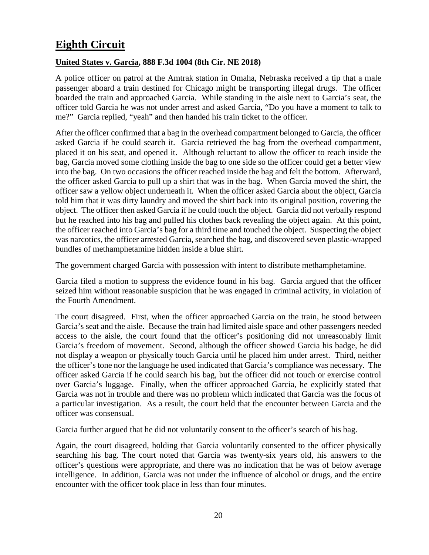# <span id="page-19-0"></span>**Eighth Circuit**

### <span id="page-19-1"></span>**United States v. Garcia, 888 F.3d 1004 (8th Cir. NE 2018)**

A police officer on patrol at the Amtrak station in Omaha, Nebraska received a tip that a male passenger aboard a train destined for Chicago might be transporting illegal drugs. The officer boarded the train and approached Garcia. While standing in the aisle next to Garcia's seat, the officer told Garcia he was not under arrest and asked Garcia, "Do you have a moment to talk to me?" Garcia replied, "yeah" and then handed his train ticket to the officer.

After the officer confirmed that a bag in the overhead compartment belonged to Garcia, the officer asked Garcia if he could search it. Garcia retrieved the bag from the overhead compartment, placed it on his seat, and opened it. Although reluctant to allow the officer to reach inside the bag, Garcia moved some clothing inside the bag to one side so the officer could get a better view into the bag. On two occasions the officer reached inside the bag and felt the bottom. Afterward, the officer asked Garcia to pull up a shirt that was in the bag. When Garcia moved the shirt, the officer saw a yellow object underneath it. When the officer asked Garcia about the object, Garcia told him that it was dirty laundry and moved the shirt back into its original position, covering the object. The officer then asked Garcia if he could touch the object. Garcia did not verbally respond but he reached into his bag and pulled his clothes back revealing the object again. At this point, the officer reached into Garcia's bag for a third time and touched the object. Suspecting the object was narcotics, the officer arrested Garcia, searched the bag, and discovered seven plastic-wrapped bundles of methamphetamine hidden inside a blue shirt.

The government charged Garcia with possession with intent to distribute methamphetamine.

Garcia filed a motion to suppress the evidence found in his bag. Garcia argued that the officer seized him without reasonable suspicion that he was engaged in criminal activity, in violation of the Fourth Amendment.

The court disagreed. First, when the officer approached Garcia on the train, he stood between Garcia's seat and the aisle. Because the train had limited aisle space and other passengers needed access to the aisle, the court found that the officer's positioning did not unreasonably limit Garcia's freedom of movement. Second, although the officer showed Garcia his badge, he did not display a weapon or physically touch Garcia until he placed him under arrest. Third, neither the officer's tone nor the language he used indicated that Garcia's compliance was necessary. The officer asked Garcia if he could search his bag, but the officer did not touch or exercise control over Garcia's luggage. Finally, when the officer approached Garcia, he explicitly stated that Garcia was not in trouble and there was no problem which indicated that Garcia was the focus of a particular investigation. As a result, the court held that the encounter between Garcia and the officer was consensual.

Garcia further argued that he did not voluntarily consent to the officer's search of his bag.

Again, the court disagreed, holding that Garcia voluntarily consented to the officer physically searching his bag. The court noted that Garcia was twenty-six years old, his answers to the officer's questions were appropriate, and there was no indication that he was of below average intelligence. In addition, Garcia was not under the influence of alcohol or drugs, and the entire encounter with the officer took place in less than four minutes.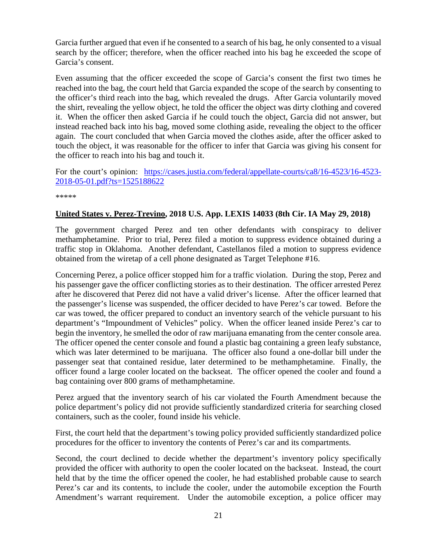Garcia further argued that even if he consented to a search of his bag, he only consented to a visual search by the officer; therefore, when the officer reached into his bag he exceeded the scope of Garcia's consent.

Even assuming that the officer exceeded the scope of Garcia's consent the first two times he reached into the bag, the court held that Garcia expanded the scope of the search by consenting to the officer's third reach into the bag, which revealed the drugs. After Garcia voluntarily moved the shirt, revealing the yellow object, he told the officer the object was dirty clothing and covered it. When the officer then asked Garcia if he could touch the object, Garcia did not answer, but instead reached back into his bag, moved some clothing aside, revealing the object to the officer again. The court concluded that when Garcia moved the clothes aside, after the officer asked to touch the object, it was reasonable for the officer to infer that Garcia was giving his consent for the officer to reach into his bag and touch it.

For the court's opinion: [https://cases.justia.com/federal/appellate-courts/ca8/16-4523/16-4523-](https://cases.justia.com/federal/appellate-courts/ca8/16-4523/16-4523-2018-05-01.pdf?ts=1525188622) [2018-05-01.pdf?ts=1525188622](https://cases.justia.com/federal/appellate-courts/ca8/16-4523/16-4523-2018-05-01.pdf?ts=1525188622)

\*\*\*\*\*

### <span id="page-20-0"></span>**United States v. Perez-Trevino, 2018 U.S. App. LEXIS 14033 (8th Cir. IA May 29, 2018)**

The government charged Perez and ten other defendants with conspiracy to deliver methamphetamine. Prior to trial, Perez filed a motion to suppress evidence obtained during a traffic stop in Oklahoma. Another defendant, Castellanos filed a motion to suppress evidence obtained from the wiretap of a cell phone designated as Target Telephone #16.

Concerning Perez, a police officer stopped him for a traffic violation. During the stop, Perez and his passenger gave the officer conflicting stories as to their destination. The officer arrested Perez after he discovered that Perez did not have a valid driver's license. After the officer learned that the passenger's license was suspended, the officer decided to have Perez's car towed. Before the car was towed, the officer prepared to conduct an inventory search of the vehicle pursuant to his department's "Impoundment of Vehicles" policy. When the officer leaned inside Perez's car to begin the inventory, he smelled the odor of raw marijuana emanating from the center console area. The officer opened the center console and found a plastic bag containing a green leafy substance, which was later determined to be marijuana. The officer also found a one-dollar bill under the passenger seat that contained residue, later determined to be methamphetamine. Finally, the officer found a large cooler located on the backseat. The officer opened the cooler and found a bag containing over 800 grams of methamphetamine.

Perez argued that the inventory search of his car violated the Fourth Amendment because the police department's policy did not provide sufficiently standardized criteria for searching closed containers, such as the cooler, found inside his vehicle.

First, the court held that the department's towing policy provided sufficiently standardized police procedures for the officer to inventory the contents of Perez's car and its compartments.

Second, the court declined to decide whether the department's inventory policy specifically provided the officer with authority to open the cooler located on the backseat. Instead, the court held that by the time the officer opened the cooler, he had established probable cause to search Perez's car and its contents, to include the cooler, under the automobile exception the Fourth Amendment's warrant requirement. Under the automobile exception, a police officer may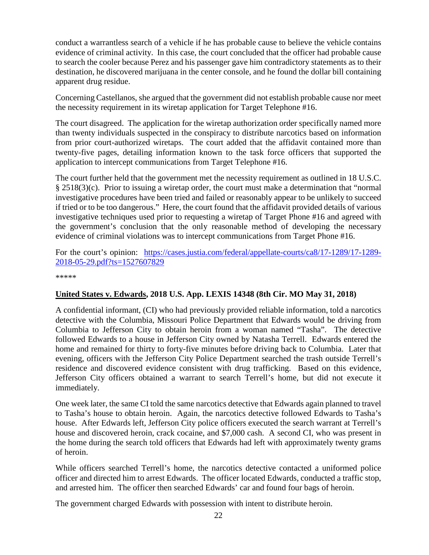conduct a warrantless search of a vehicle if he has probable cause to believe the vehicle contains evidence of criminal activity. In this case, the court concluded that the officer had probable cause to search the cooler because Perez and his passenger gave him contradictory statements as to their destination, he discovered marijuana in the center console, and he found the dollar bill containing apparent drug residue.

Concerning Castellanos, she argued that the government did not establish probable cause nor meet the necessity requirement in its wiretap application for Target Telephone #16.

The court disagreed. The application for the wiretap authorization order specifically named more than twenty individuals suspected in the conspiracy to distribute narcotics based on information from prior court-authorized wiretaps. The court added that the affidavit contained more than twenty-five pages, detailing information known to the task force officers that supported the application to intercept communications from Target Telephone #16.

The court further held that the government met the necessity requirement as outlined in 18 U.S.C. § 2518(3)(c). Prior to issuing a wiretap order, the court must make a determination that "normal investigative procedures have been tried and failed or reasonably appear to be unlikely to succeed if tried or to be too dangerous." Here, the court found that the affidavit provided details of various investigative techniques used prior to requesting a wiretap of Target Phone #16 and agreed with the government's conclusion that the only reasonable method of developing the necessary evidence of criminal violations was to intercept communications from Target Phone #16.

For the court's opinion: [https://cases.justia.com/federal/appellate-courts/ca8/17-1289/17-1289-](https://cases.justia.com/federal/appellate-courts/ca8/17-1289/17-1289-2018-05-29.pdf?ts=1527607829) [2018-05-29.pdf?ts=1527607829](https://cases.justia.com/federal/appellate-courts/ca8/17-1289/17-1289-2018-05-29.pdf?ts=1527607829)

\*\*\*\*\*

### <span id="page-21-0"></span>**United States v. Edwards, 2018 U.S. App. LEXIS 14348 (8th Cir. MO May 31, 2018)**

A confidential informant, (CI) who had previously provided reliable information, told a narcotics detective with the Columbia, Missouri Police Department that Edwards would be driving from Columbia to Jefferson City to obtain heroin from a woman named "Tasha". The detective followed Edwards to a house in Jefferson City owned by Natasha Terrell. Edwards entered the home and remained for thirty to forty-five minutes before driving back to Columbia. Later that evening, officers with the Jefferson City Police Department searched the trash outside Terrell's residence and discovered evidence consistent with drug trafficking. Based on this evidence, Jefferson City officers obtained a warrant to search Terrell's home, but did not execute it immediately.

One week later, the same CI told the same narcotics detective that Edwards again planned to travel to Tasha's house to obtain heroin. Again, the narcotics detective followed Edwards to Tasha's house. After Edwards left, Jefferson City police officers executed the search warrant at Terrell's house and discovered heroin, crack cocaine, and \$7,000 cash. A second CI, who was present in the home during the search told officers that Edwards had left with approximately twenty grams of heroin.

While officers searched Terrell's home, the narcotics detective contacted a uniformed police officer and directed him to arrest Edwards. The officer located Edwards, conducted a traffic stop, and arrested him. The officer then searched Edwards' car and found four bags of heroin.

The government charged Edwards with possession with intent to distribute heroin.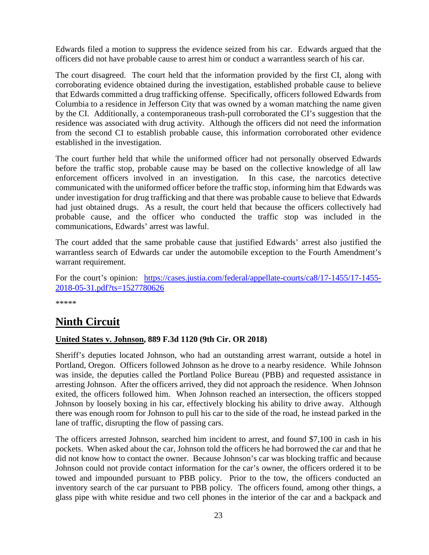Edwards filed a motion to suppress the evidence seized from his car. Edwards argued that the officers did not have probable cause to arrest him or conduct a warrantless search of his car.

The court disagreed. The court held that the information provided by the first CI, along with corroborating evidence obtained during the investigation, established probable cause to believe that Edwards committed a drug trafficking offense. Specifically, officers followed Edwards from Columbia to a residence in Jefferson City that was owned by a woman matching the name given by the CI. Additionally, a contemporaneous trash-pull corroborated the CI's suggestion that the residence was associated with drug activity. Although the officers did not need the information from the second CI to establish probable cause, this information corroborated other evidence established in the investigation.

The court further held that while the uniformed officer had not personally observed Edwards before the traffic stop, probable cause may be based on the collective knowledge of all law enforcement officers involved in an investigation. In this case, the narcotics detective communicated with the uniformed officer before the traffic stop, informing him that Edwards was under investigation for drug trafficking and that there was probable cause to believe that Edwards had just obtained drugs. As a result, the court held that because the officers collectively had probable cause, and the officer who conducted the traffic stop was included in the communications, Edwards' arrest was lawful.

The court added that the same probable cause that justified Edwards' arrest also justified the warrantless search of Edwards car under the automobile exception to the Fourth Amendment's warrant requirement.

For the court's opinion: [https://cases.justia.com/federal/appellate-courts/ca8/17-1455/17-1455-](https://cases.justia.com/federal/appellate-courts/ca8/17-1455/17-1455-2018-05-31.pdf?ts=1527780626) [2018-05-31.pdf?ts=1527780626](https://cases.justia.com/federal/appellate-courts/ca8/17-1455/17-1455-2018-05-31.pdf?ts=1527780626)

\*\*\*\*\*

# <span id="page-22-0"></span>**Ninth Circuit**

### <span id="page-22-1"></span>**United States v. Johnson, 889 F.3d 1120 (9th Cir. OR 2018)**

Sheriff's deputies located Johnson, who had an outstanding arrest warrant, outside a hotel in Portland, Oregon. Officers followed Johnson as he drove to a nearby residence. While Johnson was inside, the deputies called the Portland Police Bureau (PBB) and requested assistance in arresting Johnson. After the officers arrived, they did not approach the residence. When Johnson exited, the officers followed him. When Johnson reached an intersection, the officers stopped Johnson by loosely boxing in his car, effectively blocking his ability to drive away. Although there was enough room for Johnson to pull his car to the side of the road, he instead parked in the lane of traffic, disrupting the flow of passing cars.

The officers arrested Johnson, searched him incident to arrest, and found \$7,100 in cash in his pockets. When asked about the car, Johnson told the officers he had borrowed the car and that he did not know how to contact the owner. Because Johnson's car was blocking traffic and because Johnson could not provide contact information for the car's owner, the officers ordered it to be towed and impounded pursuant to PBB policy. Prior to the tow, the officers conducted an inventory search of the car pursuant to PBB policy. The officers found, among other things, a glass pipe with white residue and two cell phones in the interior of the car and a backpack and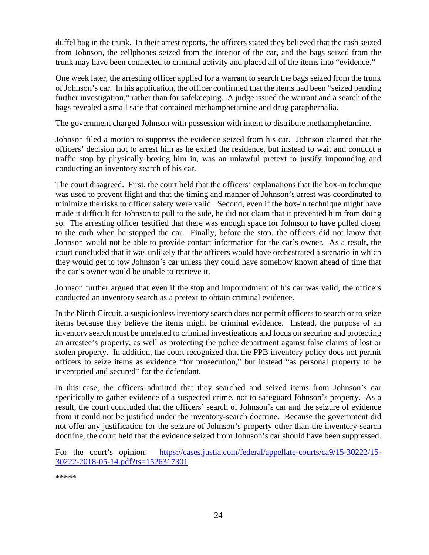duffel bag in the trunk. In their arrest reports, the officers stated they believed that the cash seized from Johnson, the cellphones seized from the interior of the car, and the bags seized from the trunk may have been connected to criminal activity and placed all of the items into "evidence."

One week later, the arresting officer applied for a warrant to search the bags seized from the trunk of Johnson's car. In his application, the officer confirmed that the items had been "seized pending further investigation," rather than for safekeeping. A judge issued the warrant and a search of the bags revealed a small safe that contained methamphetamine and drug paraphernalia.

The government charged Johnson with possession with intent to distribute methamphetamine.

Johnson filed a motion to suppress the evidence seized from his car. Johnson claimed that the officers' decision not to arrest him as he exited the residence, but instead to wait and conduct a traffic stop by physically boxing him in, was an unlawful pretext to justify impounding and conducting an inventory search of his car.

The court disagreed. First, the court held that the officers' explanations that the box-in technique was used to prevent flight and that the timing and manner of Johnson's arrest was coordinated to minimize the risks to officer safety were valid. Second, even if the box-in technique might have made it difficult for Johnson to pull to the side, he did not claim that it prevented him from doing so. The arresting officer testified that there was enough space for Johnson to have pulled closer to the curb when he stopped the car. Finally, before the stop, the officers did not know that Johnson would not be able to provide contact information for the car's owner. As a result, the court concluded that it was unlikely that the officers would have orchestrated a scenario in which they would get to tow Johnson's car unless they could have somehow known ahead of time that the car's owner would be unable to retrieve it.

Johnson further argued that even if the stop and impoundment of his car was valid, the officers conducted an inventory search as a pretext to obtain criminal evidence.

In the Ninth Circuit, a suspicionless inventory search does not permit officers to search or to seize items because they believe the items might be criminal evidence. Instead, the purpose of an inventory search must be unrelated to criminal investigations and focus on securing and protecting an arrestee's property, as well as protecting the police department against false claims of lost or stolen property. In addition, the court recognized that the PPB inventory policy does not permit officers to seize items as evidence "for prosecution," but instead "as personal property to be inventoried and secured" for the defendant.

In this case, the officers admitted that they searched and seized items from Johnson's car specifically to gather evidence of a suspected crime, not to safeguard Johnson's property. As a result, the court concluded that the officers' search of Johnson's car and the seizure of evidence from it could not be justified under the inventory-search doctrine. Because the government did not offer any justification for the seizure of Johnson's property other than the inventory-search doctrine, the court held that the evidence seized from Johnson's car should have been suppressed.

For the court's opinion: [https://cases.justia.com/federal/appellate-courts/ca9/15-30222/15-](https://cases.justia.com/federal/appellate-courts/ca9/15-30222/15-30222-2018-05-14.pdf?ts=1526317301) [30222-2018-05-14.pdf?ts=1526317301](https://cases.justia.com/federal/appellate-courts/ca9/15-30222/15-30222-2018-05-14.pdf?ts=1526317301)

\*\*\*\*\*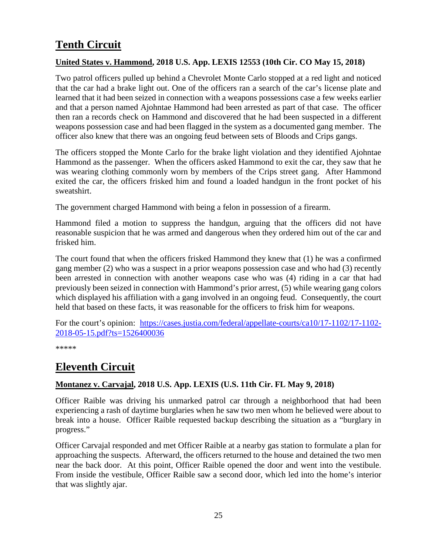# <span id="page-24-0"></span>**Tenth Circuit**

### <span id="page-24-1"></span>**United States v. Hammond, 2018 U.S. App. LEXIS 12553 (10th Cir. CO May 15, 2018)**

Two patrol officers pulled up behind a Chevrolet Monte Carlo stopped at a red light and noticed that the car had a brake light out. One of the officers ran a search of the car's license plate and learned that it had been seized in connection with a weapons possessions case a few weeks earlier and that a person named Ajohntae Hammond had been arrested as part of that case. The officer then ran a records check on Hammond and discovered that he had been suspected in a different weapons possession case and had been flagged in the system as a documented gang member. The officer also knew that there was an ongoing feud between sets of Bloods and Crips gangs.

The officers stopped the Monte Carlo for the brake light violation and they identified Ajohntae Hammond as the passenger. When the officers asked Hammond to exit the car, they saw that he was wearing clothing commonly worn by members of the Crips street gang. After Hammond exited the car, the officers frisked him and found a loaded handgun in the front pocket of his sweatshirt.

The government charged Hammond with being a felon in possession of a firearm.

Hammond filed a motion to suppress the handgun, arguing that the officers did not have reasonable suspicion that he was armed and dangerous when they ordered him out of the car and frisked him.

The court found that when the officers frisked Hammond they knew that (1) he was a confirmed gang member (2) who was a suspect in a prior weapons possession case and who had (3) recently been arrested in connection with another weapons case who was (4) riding in a car that had previously been seized in connection with Hammond's prior arrest, (5) while wearing gang colors which displayed his affiliation with a gang involved in an ongoing feud. Consequently, the court held that based on these facts, it was reasonable for the officers to frisk him for weapons.

For the court's opinion: [https://cases.justia.com/federal/appellate-courts/ca10/17-1102/17-1102-](https://cases.justia.com/federal/appellate-courts/ca10/17-1102/17-1102-2018-05-15.pdf?ts=1526400036) [2018-05-15.pdf?ts=1526400036](https://cases.justia.com/federal/appellate-courts/ca10/17-1102/17-1102-2018-05-15.pdf?ts=1526400036)

\*\*\*\*\*

## <span id="page-24-2"></span>**Eleventh Circuit**

### <span id="page-24-3"></span>**Montanez v. Carvajal, 2018 U.S. App. LEXIS (U.S. 11th Cir. FL May 9, 2018)**

Officer Raible was driving his unmarked patrol car through a neighborhood that had been experiencing a rash of daytime burglaries when he saw two men whom he believed were about to break into a house. Officer Raible requested backup describing the situation as a "burglary in progress."

Officer Carvajal responded and met Officer Raible at a nearby gas station to formulate a plan for approaching the suspects. Afterward, the officers returned to the house and detained the two men near the back door. At this point, Officer Raible opened the door and went into the vestibule. From inside the vestibule, Officer Raible saw a second door, which led into the home's interior that was slightly ajar.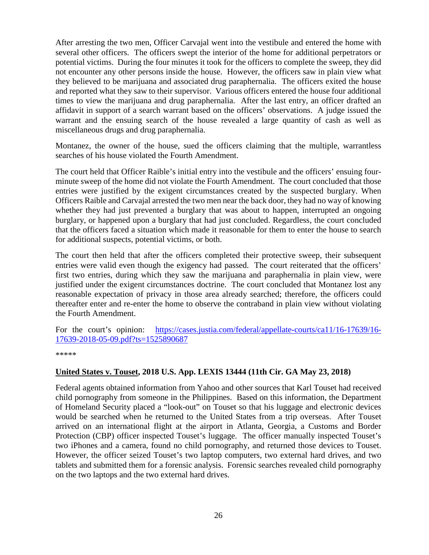After arresting the two men, Officer Carvajal went into the vestibule and entered the home with several other officers. The officers swept the interior of the home for additional perpetrators or potential victims. During the four minutes it took for the officers to complete the sweep, they did not encounter any other persons inside the house. However, the officers saw in plain view what they believed to be marijuana and associated drug paraphernalia. The officers exited the house and reported what they saw to their supervisor. Various officers entered the house four additional times to view the marijuana and drug paraphernalia. After the last entry, an officer drafted an affidavit in support of a search warrant based on the officers' observations. A judge issued the warrant and the ensuing search of the house revealed a large quantity of cash as well as miscellaneous drugs and drug paraphernalia.

Montanez, the owner of the house, sued the officers claiming that the multiple, warrantless searches of his house violated the Fourth Amendment.

The court held that Officer Raible's initial entry into the vestibule and the officers' ensuing fourminute sweep of the home did not violate the Fourth Amendment. The court concluded that those entries were justified by the exigent circumstances created by the suspected burglary. When Officers Raible and Carvajal arrested the two men near the back door, they had no way of knowing whether they had just prevented a burglary that was about to happen, interrupted an ongoing burglary, or happened upon a burglary that had just concluded. Regardless, the court concluded that the officers faced a situation which made it reasonable for them to enter the house to search for additional suspects, potential victims, or both.

The court then held that after the officers completed their protective sweep, their subsequent entries were valid even though the exigency had passed. The court reiterated that the officers' first two entries, during which they saw the marijuana and paraphernalia in plain view, were justified under the exigent circumstances doctrine. The court concluded that Montanez lost any reasonable expectation of privacy in those area already searched; therefore, the officers could thereafter enter and re-enter the home to observe the contraband in plain view without violating the Fourth Amendment.

For the court's opinion: [https://cases.justia.com/federal/appellate-courts/ca11/16-17639/16-](https://cases.justia.com/federal/appellate-courts/ca11/16-17639/16-17639-2018-05-09.pdf?ts=1525890687) [17639-2018-05-09.pdf?ts=1525890687](https://cases.justia.com/federal/appellate-courts/ca11/16-17639/16-17639-2018-05-09.pdf?ts=1525890687)

\*\*\*\*\*

### <span id="page-25-0"></span>**United States v. Touset, 2018 U.S. App. LEXIS 13444 (11th Cir. GA May 23, 2018)**

Federal agents obtained information from Yahoo and other sources that Karl Touset had received child pornography from someone in the Philippines. Based on this information, the Department of Homeland Security placed a "look-out" on Touset so that his luggage and electronic devices would be searched when he returned to the United States from a trip overseas. After Touset arrived on an international flight at the airport in Atlanta, Georgia, a Customs and Border Protection (CBP) officer inspected Touset's luggage. The officer manually inspected Touset's two iPhones and a camera, found no child pornography, and returned those devices to Touset. However, the officer seized Touset's two laptop computers, two external hard drives, and two tablets and submitted them for a forensic analysis. Forensic searches revealed child pornography on the two laptops and the two external hard drives.